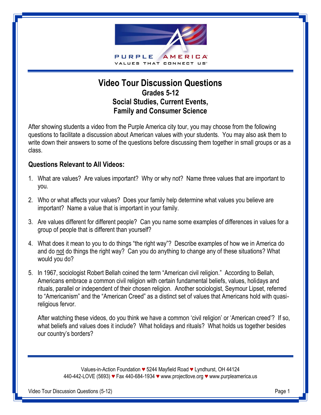

# **Video Tour Discussion Questions Grades 5-12 Social Studies, Current Events, Family and Consumer Science**

After showing students a video from the Purple America city tour, you may choose from the following questions to facilitate a discussion about American values with your students. You may also ask them to write down their answers to some of the questions before discussing them together in small groups or as a class.

#### **Questions Relevant to All Videos:**

- 1. What are values? Are values important? Why or why not? Name three values that are important to you.
- 2. Who or what affects your values? Does your family help determine what values you believe are important? Name a value that is important in your family.
- 3. Are values different for different people? Can you name some examples of differences in values for a group of people that is different than yourself?
- 4. What does it mean to you to do things "the right way"? Describe examples of how we in America do and do not do things the right way? Can you do anything to change any of these situations? What would you do?
- 5. In 1967, sociologist Robert Bellah coined the term "American civil religion." According to Bellah, Americans embrace a common civil religion with certain fundamental beliefs, values, holidays and rituals, parallel or independent of their chosen religion. Another sociologist, Seymour Lipset, referred to "Americanism" and the "American Creed" as a distinct set of values that Americans hold with quasireligious fervor.

After watching these videos, do you think we have a common 'civil religion' or 'American creed'? If so, what beliefs and values does it include? What holidays and rituals? What holds us together besides our country's borders?

> Values-in-Action Foundation *♥* 5244 Mayfield Road *♥* Lyndhurst, OH 44124 440-442-LOVE (5693) *♥* Fax 440-684-1934 *♥* www.projectlove.org *♥* www.purpleamerica.us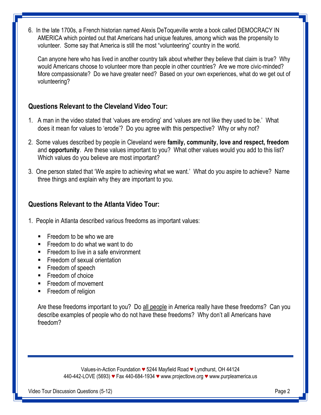6. In the late 1700s, a French historian named Alexis DeToqueville wrote a book called DEMOCRACY IN AMERICA which pointed out that Americans had unique features, among which was the propensity to volunteer. Some say that America is still the most "volunteering" country in the world.

Can anyone here who has lived in another country talk about whether they believe that claim is true? Why would Americans choose to volunteer more than people in other countries? Are we more civic-minded? More compassionate? Do we have greater need? Based on your own experiences, what do we get out of volunteering?

### **Questions Relevant to the Cleveland Video Tour:**

- 1. A man in the video stated that 'values are eroding' and 'values are not like they used to be.' What does it mean for values to 'erode'? Do you agree with this perspective? Why or why not?
- 2. Some values described by people in Cleveland were **family, community, love and respect, freedom**  and **opportunity**. Are these values important to you? What other values would you add to this list? Which values do you believe are most important?
- 3. One person stated that 'We aspire to achieving what we want.' What do you aspire to achieve? Name three things and explain why they are important to you.

#### **Questions Relevant to the Atlanta Video Tour:**

- 1. People in Atlanta described various freedoms as important values:
	- $\blacksquare$  Freedom to be who we are
	- **Freedom to do what we want to do**
	- **Figure 1** Freedom to live in a safe environment
	- **Freedom of sexual orientation**
	- **Freedom of speech**
	- **Freedom of choice**
	- **Freedom of movement**
	- **Freedom of religion**

Are these freedoms important to you? Do all people in America really have these freedoms? Can you describe examples of people who do not have these freedoms? Why don't all Americans have freedom?

> Values-in-Action Foundation *♥* 5244 Mayfield Road *♥* Lyndhurst, OH 44124 440-442-LOVE (5693) *♥* Fax 440-684-1934 *♥* www.projectlove.org *♥* www.purpleamerica.us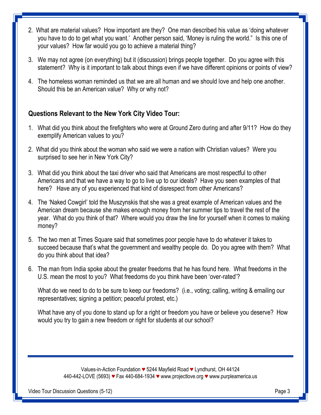- 2. What are material values? How important are they? One man described his value as 'doing whatever you have to do to get what you want.' Another person said, 'Money is ruling the world." Is this one of your values? How far would you go to achieve a material thing?
- 3. We may not agree (on everything) but it (discussion) brings people together. Do you agree with this statement? Why is it important to talk about things even if we have different opinions or points of view?
- 4. The homeless woman reminded us that we are all human and we should love and help one another. Should this be an American value? Why or why not?

## **Questions Relevant to the New York City Video Tour:**

- 1. What did you think about the firefighters who were at Ground Zero during and after 9/11? How do they exemplify American values to you?
- 2. What did you think about the woman who said we were a nation with Christian values? Were you surprised to see her in New York City?
- 3. What did you think about the taxi driver who said that Americans are most respectful to other Americans and that we have a way to go to live up to our ideals? Have you seen examples of that here? Have any of you experienced that kind of disrespect from other Americans?
- 4. The 'Naked Cowgirl' told the Muszynskis that she was a great example of American values and the American dream because she makes enough money from her summer tips to travel the rest of the year. What do you think of that? Where would you draw the line for yourself when it comes to making money?
- 5. The two men at Times Square said that sometimes poor people have to do whatever it takes to succeed because that's what the government and wealthy people do. Do you agree with them? What do you think about that idea?
- 6. The man from India spoke about the greater freedoms that he has found here. What freedoms in the U.S. mean the most to you? What freedoms do you think have been 'over-rated'?

What do we need to do to be sure to keep our freedoms? (i.e., voting; calling, writing & emailing our representatives; signing a petition; peaceful protest, etc.)

What have any of you done to stand up for a right or freedom you have or believe you deserve? How would you try to gain a new freedom or right for students at our school?

> Values-in-Action Foundation *♥* 5244 Mayfield Road *♥* Lyndhurst, OH 44124 440-442-LOVE (5693) *♥* Fax 440-684-1934 *♥* www.projectlove.org *♥* www.purpleamerica.us